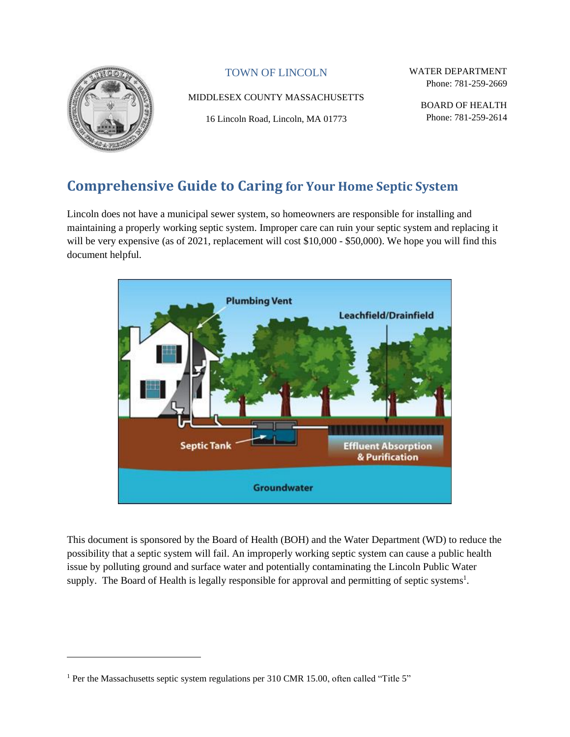

### TOWN OF LINCOLN

#### MIDDLESEX COUNTY MASSACHUSETTS

16 Lincoln Road, Lincoln, MA 01773

WATER DEPARTMENT Phone: 781-259-2669

> BOARD OF HEALTH Phone: 781-259-2614

# **Comprehensive Guide to Caring for Your Home Septic System**

Lincoln does not have a municipal sewer system, so homeowners are responsible for installing and maintaining a properly working septic system. Improper care can ruin your septic system and replacing it will be very expensive (as of 2021, replacement will cost \$10,000 - \$50,000). We hope you will find this document helpful.



This document is sponsored by the Board of Health (BOH) and the Water Department (WD) to reduce the possibility that a septic system will fail. An improperly working septic system can cause a public health issue by polluting ground and surface water and potentially contaminating the Lincoln Public Water supply. The Board of Health is legally responsible for approval and permitting of septic systems<sup>1</sup>.

<sup>&</sup>lt;sup>1</sup> Per the Massachusetts septic system regulations per 310 CMR 15.00, often called "Title 5"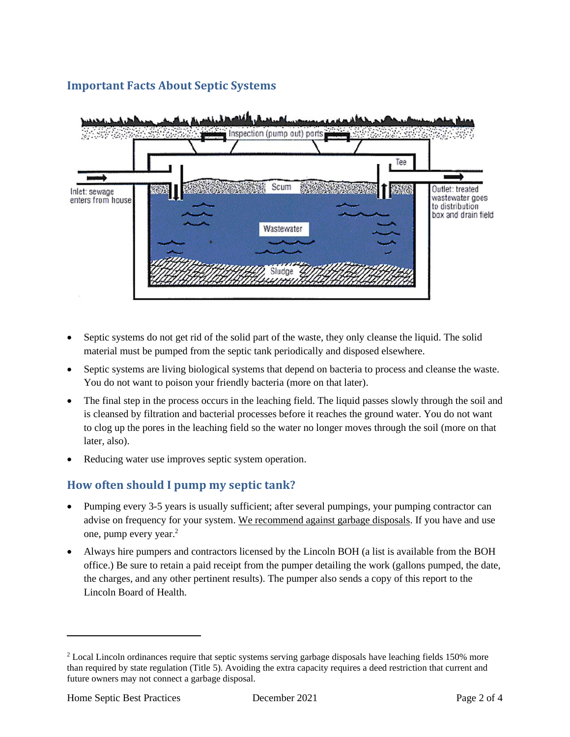### **Important Facts About Septic Systems**



- Septic systems do not get rid of the solid part of the waste, they only cleanse the liquid. The solid material must be pumped from the septic tank periodically and disposed elsewhere.
- Septic systems are living biological systems that depend on bacteria to process and cleanse the waste. You do not want to poison your friendly bacteria (more on that later).
- The final step in the process occurs in the leaching field. The liquid passes slowly through the soil and is cleansed by filtration and bacterial processes before it reaches the ground water. You do not want to clog up the pores in the leaching field so the water no longer moves through the soil (more on that later, also).
- Reducing water use improves septic system operation.

### **How often should I pump my septic tank?**

- Pumping every 3-5 years is usually sufficient; after several pumpings, your pumping contractor can advise on frequency for your system. We recommend against garbage disposals. If you have and use one, pump every year.<sup>2</sup>
- Always hire pumpers and contractors licensed by the Lincoln BOH (a list is available from the BOH office.) Be sure to retain a paid receipt from the pumper detailing the work (gallons pumped, the date, the charges, and any other pertinent results). The pumper also sends a copy of this report to the Lincoln Board of Health.

<sup>&</sup>lt;sup>2</sup> Local Lincoln ordinances require that septic systems serving garbage disposals have leaching fields 150% more than required by state regulation (Title 5). Avoiding the extra capacity requires a deed restriction that current and future owners may not connect a garbage disposal.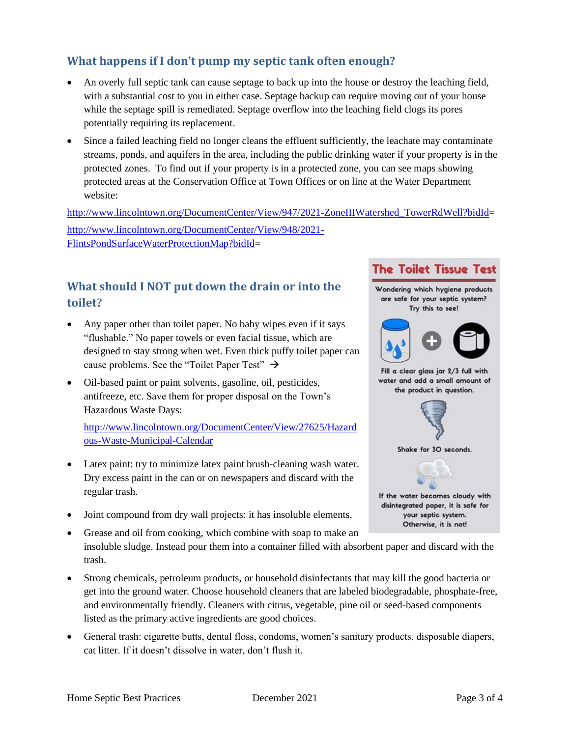### **What happens if I don't pump my septic tank often enough?**

- An overly full septic tank can cause septage to back up into the house or destroy the leaching field, with a substantial cost to you in either case. Septage backup can require moving out of your house while the septage spill is remediated. Septage overflow into the leaching field clogs its pores potentially requiring its replacement.
- Since a failed leaching field no longer cleans the effluent sufficiently, the leachate may contaminate streams, ponds, and aquifers in the area, including the public drinking water if your property is in the protected zones. To find out if your property is in a protected zone, you can see maps showing protected areas at the Conservation Office at Town Offices or on line at the Water Department website:

[http://www.lincolntown.org/DocumentCenter/View/947/2021-ZoneIIIWatershed\\_TowerRdWell?bidId=](http://www.lincolntown.org/DocumentCenter/View/947/2021-ZoneIIIWatershed_TowerRdWell?bidId) [http://www.lincolntown.org/DocumentCenter/View/948/2021-](http://www.lincolntown.org/DocumentCenter/View/948/2021-FlintsPondSurfaceWaterProtectionMap?bidId) [FlintsPondSurfaceWaterProtectionMap?bidId=](http://www.lincolntown.org/DocumentCenter/View/948/2021-FlintsPondSurfaceWaterProtectionMap?bidId)

## **What should I NOT put down the drain or into the toilet?**

- Any paper other than toilet paper. No baby wipes even if it says "flushable." No paper towels or even facial tissue, which are designed to stay strong when wet. Even thick puffy toilet paper can cause problems. See the "Toilet Paper Test"  $\rightarrow$
- Oil-based paint or paint solvents, gasoline, oil, pesticides, antifreeze, etc. Save them for proper disposal on the Town's Hazardous Waste Days:

[http://www.lincolntown.org/DocumentCenter/View/27625/Hazard](http://www.lincolntown.org/DocumentCenter/View/27625/Hazardous-Waste-Municipal-Calendar) [ous-Waste-Municipal-Calendar](http://www.lincolntown.org/DocumentCenter/View/27625/Hazardous-Waste-Municipal-Calendar)

- Latex paint: try to minimize latex paint brush-cleaning wash water. Dry excess paint in the can or on newspapers and discard with the regular trash.
- Joint compound from dry wall projects: it has insoluble elements.
- Grease and oil from cooking, which combine with soap to make an insoluble sludge. Instead pour them into a container filled with absorbent paper and discard with the trash.
- Strong chemicals, petroleum products, or household disinfectants that may kill the good bacteria or get into the ground water. Choose household cleaners that are labeled biodegradable, phosphate-free, and environmentally friendly. Cleaners with citrus, vegetable, pine oil or seed-based components listed as the primary active ingredients are good choices.
- General trash: cigarette butts, dental floss, condoms, women's sanitary products, disposable diapers, cat litter. If it doesn't dissolve in water, don't flush it.